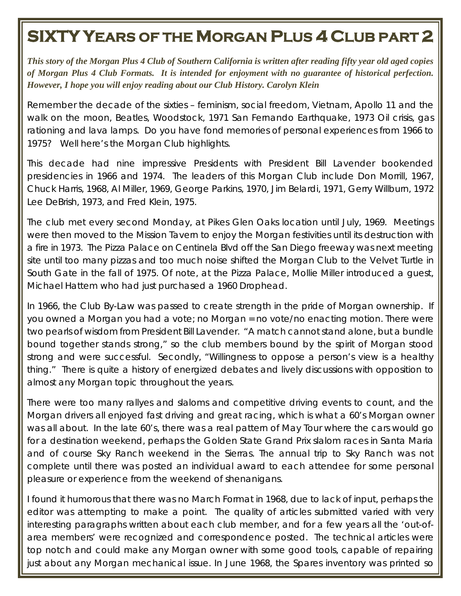## **SIXTY YEARS OF THE MORGAN PLUS 4 CLUB PART 2**

*This story of the Morgan Plus 4 Club of Southern California is written after reading fifty year old aged copies of Morgan Plus 4 Club Formats. It is intended for enjoyment with no guarantee of historical perfection. However, I hope you will enjoy reading about our Club History. Carolyn Klein*

Remember the decade of the sixties – feminism, social freedom, Vietnam, Apollo 11 and the walk on the moon, Beatles, Woodstock, 1971 San Fernando Earthquake, 1973 Oil crisis, gas rationing and lava lamps. Do you have fond memories of personal experiences from 1966 to 1975? Well here's the Morgan Club highlights.

This decade had nine impressive Presidents with President Bill Lavender bookended presidencies in 1966 and 1974. The leaders of this Morgan Club include Don Morrill, 1967, Chuck Harris, 1968, Al Miller, 1969, George Parkins, 1970, Jim Belardi, 1971, Gerry Willburn, 1972 Lee DeBrish, 1973, and Fred Klein, 1975.

The club met every second Monday, at Pikes Glen Oaks location until July, 1969. Meetings were then moved to the Mission Tavern to enjoy the Morgan festivities until its destruction with a fire in 1973. The Pizza Palace on Centinela Blvd off the San Diego freeway was next meeting site until too many pizzas and too much noise shifted the Morgan Club to the Velvet Turtle in South Gate in the fall of 1975. Of note, at the Pizza Palace, Mollie Miller introduced a guest, Michael Hattem who had just purchased a 1960 Drophead.

In 1966, the Club By-Law was passed to create strength in the pride of Morgan ownership. If you owned a Morgan you had a vote; no Morgan = no vote/no enacting motion. There were two pearls of wisdom from President Bill Lavender. "A match cannot stand alone, but a bundle bound together stands strong," so the club members bound by the spirit of Morgan stood strong and were successful. Secondly, "Willingness to oppose a person's view is a healthy thing." There is quite a history of energized debates and lively discussions with opposition to almost any Morgan topic throughout the years.

There were too many rallyes and slaloms and competitive driving events to count, and the Morgan drivers all enjoyed fast driving and great racing, which is what a 60's Morgan owner was all about. In the late 60's, there was a real pattern of May Tour where the cars would go for a destination weekend, perhaps the Golden State Grand Prix slalom races in Santa Maria and of course Sky Ranch weekend in the Sierras. The annual trip to Sky Ranch was not complete until there was posted an individual award to each attendee for some personal pleasure or experience from the weekend of shenanigans.

I found it humorous that there was no March Format in 1968, due to lack of input, perhaps the editor was attempting to make a point. The quality of articles submitted varied with very interesting paragraphs written about each club member, and for a few years all the 'out-ofarea members' were recognized and correspondence posted. The technical articles were top notch and could make any Morgan owner with some good tools, capable of repairing just about any Morgan mechanical issue. In June 1968, the Spares inventory was printed so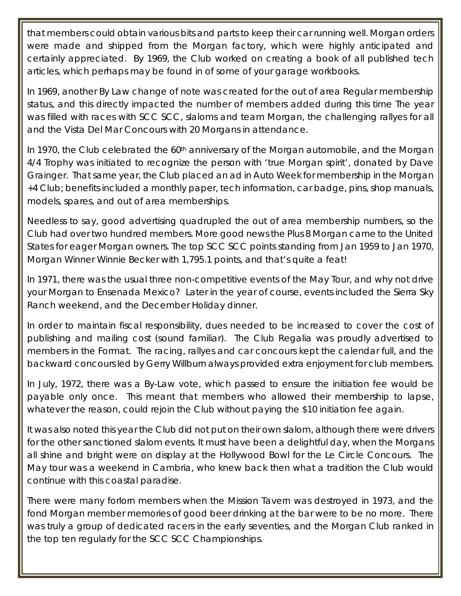that members could obtain various bits and parts to keep their car running well. Morgan orders were made and shipped from the Morgan factory, which were highly anticipated and certainly appreciated. By 1969, the Club worked on creating a book of all published tech articles, which perhaps may be found in of some of your garage workbooks.

In 1969, another By Law change of note was created for the out of area Regular membership status, and this directly impacted the number of members added during this time The year was filled with races with SCC SCC, slaloms and team Morgan, the challenging rallyes for all and the Vista Del Mar Concours with 20 Morgans in attendance.

In 1970, the Club celebrated the 60<sup>th</sup> anniversary of the Morgan automobile, and the Morgan 4/4 Trophy was initiated to recognize the person with 'true Morgan spirit', donated by Dave Grainger. That same year, the Club placed an ad in Auto Week for membership in the Morgan +4 Club; benefits included a monthly paper, tech information, car badge, pins, shop manuals, models, spares, and out of area memberships.

Needless to say, good advertising quadrupled the out of area membership numbers, so the Club had over two hundred members. More good news the Plus 8 Morgan came to the United States for eager Morgan owners. The top SCC SCC points standing from Jan 1959 to Jan 1970, Morgan Winner Winnie Becker with 1,795.1 points, and that's quite a feat!

In 1971, there was the usual three non-competitive events of the May Tour, and why not drive your Morgan to Ensenada Mexico? Later in the year of course, events included the Sierra Sky Ranch weekend, and the December Holiday dinner.

In order to maintain fiscal responsibility, dues needed to be increased to cover the cost of publishing and mailing cost (sound familiar). The Club Regalia was proudly advertised to members in the Format. The racing, rallyes and car concours kept the calendar full, and the backward concours led by Gerry Willburn always provided extra enjoyment for club members.

In July, 1972, there was a By-Law vote, which passed to ensure the initiation fee would be payable only once. This meant that members who allowed their membership to lapse, whatever the reason, could rejoin the Club without paying the \$10 initiation fee again.

It was also noted this year the Club did not put on their own slalom, although there were drivers for the other sanctioned slalom events. It must have been a delightful day, when the Morgans all shine and bright were on display at the Hollywood Bowl for the Le Circle Concours. The May tour was a weekend in Cambria, who knew back then what a tradition the Club would continue with this coastal paradise.

There were many forlorn members when the Mission Tavern was destroyed in 1973, and the fond Morgan member memories of good beer drinking at the bar were to be no more. There was truly a group of dedicated racers in the early seventies, and the Morgan Club ranked in the top ten regularly for the SCC SCC Championships.